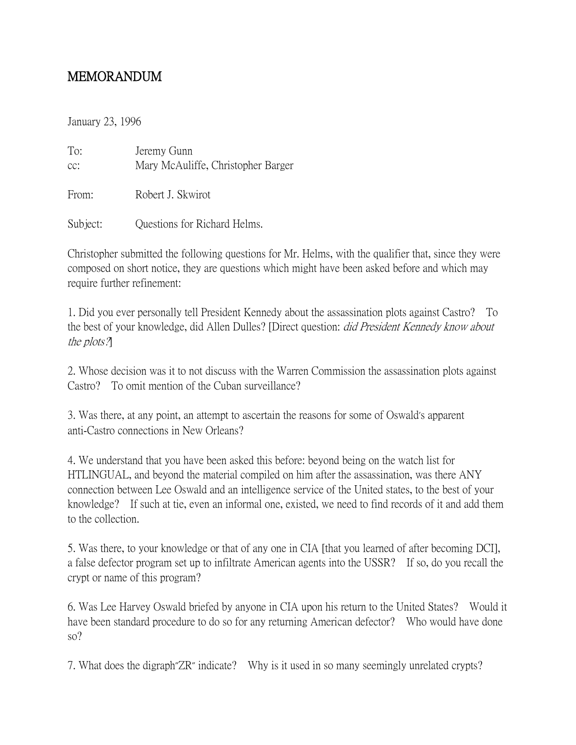## MEMORANDUM

January 23, 1996

To: Jeremy Gunn cc: Mary McAuliffe, Christopher Barger From: Robert J. Skwirot

Subject: **Questions for Richard Helms.** 

Christopher submitted the following questions for Mr. Helms, with the qualifier that, since they were composed on short notice, they are questions which might have been asked before and which may require further refinement:

1. Did you ever personally tell President Kennedy about the assassination plots against Castro? To the best of your knowledge, did Allen Dulles? [Direct question: did President Kennedy know about the plots?]

2. Whose decision was it to not discuss with the Warren Commission the assassination plots against Castro? To omit mention of the Cuban surveillance?

3. Was there, at any point, an attempt to ascertain the reasons for some of Oswald's apparent anti-Castro connections in New Orleans?

4. We understand that you have been asked this before: beyond being on the watch list for HTLINGUAL, and beyond the material compiled on him after the assassination, was there ANY connection between Lee Oswald and an intelligence service of the United states, to the best of your knowledge? If such at tie, even an informal one, existed, we need to find records of it and add them to the collection.

5. Was there, to your knowledge or that of any one in CIA [that you learned of after becoming DCI], a false defector program set up to infiltrate American agents into the USSR? If so, do you recall the crypt or name of this program?

6. Was Lee Harvey Oswald briefed by anyone in CIA upon his return to the United States? Would it have been standard procedure to do so for any returning American defector? Who would have done so?

7. What does the digraph"ZR" indicate? Why is it used in so many seemingly unrelated crypts?